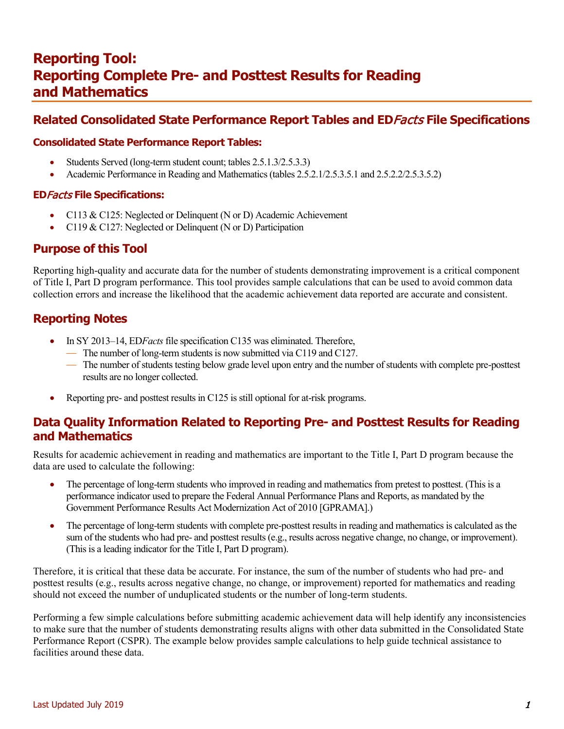# **Related Consolidated State Performance Report Tables and ED**Facts **File Specifications**

### **Consolidated State Performance Report Tables:**

- Students Served (long-term student count; tables 2.5.1.3/2.5.3.3)
- Academic Performance in Reading and Mathematics (tables 2.5.2.1/2.5.3.5.1 and 2.5.2.2/2.5.3.5.2)

### **ED**Facts **File Specifications:**

- C113 & C125: Neglected or Delinquent (N or D) Academic Achievement
- C119 & C127: Neglected or Delinquent (N or D) Participation

### **Purpose of this Tool**

Reporting high-quality and accurate data for the number of students demonstrating improvement is a critical component of Title I, Part D program performance. This tool provides sample calculations that can be used to avoid common data collection errors and increase the likelihood that the academic achievement data reported are accurate and consistent.

# **Reporting Notes**

- In SY 2013–14, ED*Facts*file specification C135 was eliminated. Therefore,
	- The number of long-term students is now submitted via C119 and C127.
	- The number of students testing below grade level upon entry and the number of students with complete pre-posttest results are no longer collected.
- Reporting pre- and posttest results in C125 is still optional for at-risk programs.

# **Data Quality Information Related to Reporting Pre- and Posttest Results for Reading and Mathematics**

Results for academic achievement in reading and mathematics are important to the Title I, Part D program because the data are used to calculate the following:

- The percentage of long-term students who improved in reading and mathematics from pretest to posttest. (This is a performance indicator used to prepare the Federal Annual Performance Plans and Reports, as mandated by the Government Performance Results Act Modernization Act of 2010 [GPRAMA].)
- The percentage of long-term students with complete pre-posttest results in reading and mathematics is calculated as the sum of the students who had pre- and posttest results (e.g., results across negative change, no change, or improvement). (This is a leading indicator for the Title I, Part D program).

Therefore, it is critical that these data be accurate. For instance, the sum of the number of students who had pre- and posttest results (e.g., results across negative change, no change, or improvement) reported for mathematics and reading should not exceed the number of unduplicated students or the number of long-term students.

Performing a few simple calculations before submitting academic achievement data will help identify any inconsistencies to make sure that the number of students demonstrating results aligns with other data submitted in the Consolidated State Performance Report (CSPR). The example below provides sample calculations to help guide technical assistance to facilities around these data.